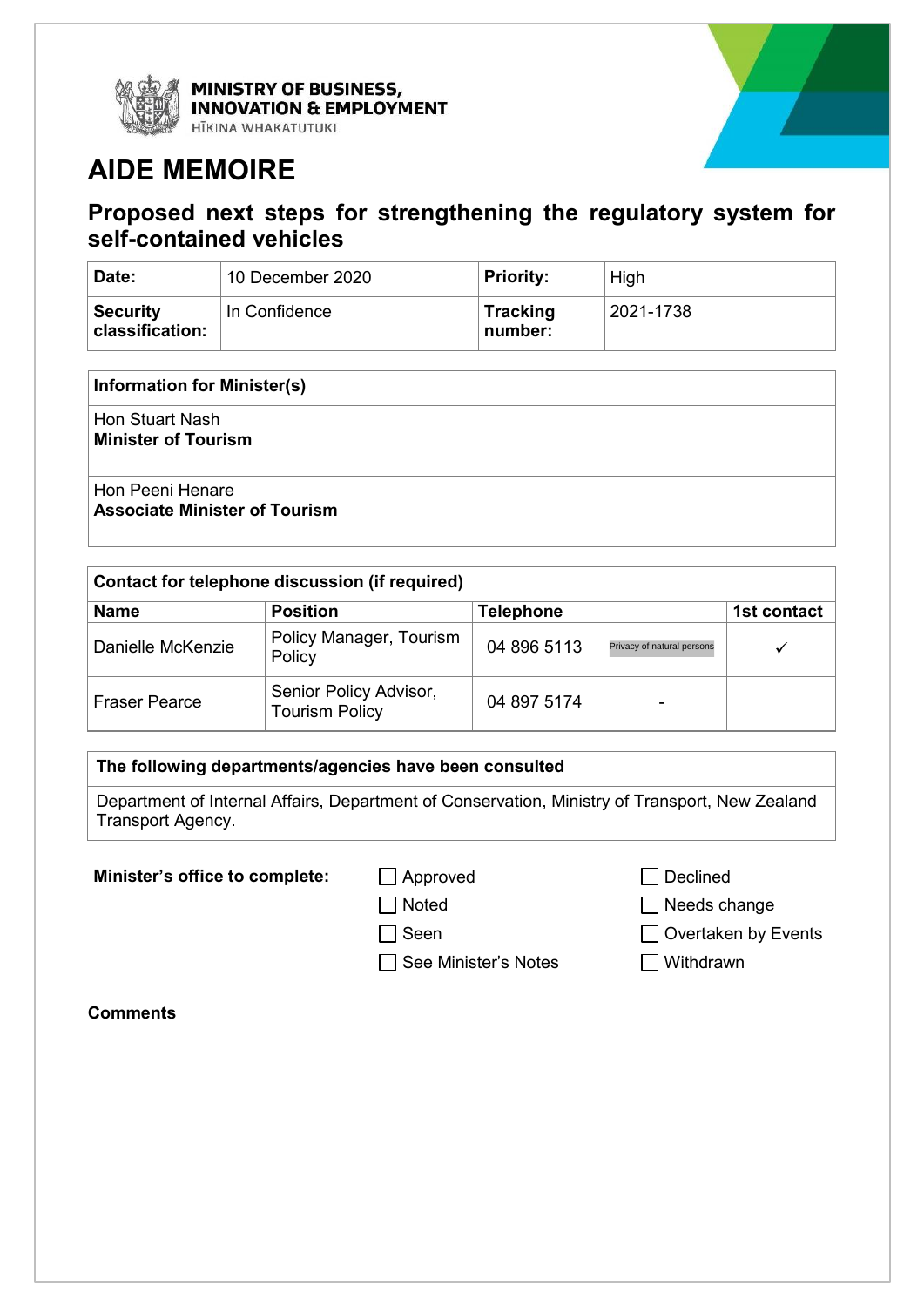

MINISTRY OF BUSINESS, **INNOVATION & EMPLOYMENT** HĪKINA WHAKATUTUKI

# **AIDE MEMOIRE**

# **Proposed next steps for strengthening the regulatory system for self-contained vehicles**

| Date:                              | 10 December 2020 | <b>Priority:</b>           | High      |
|------------------------------------|------------------|----------------------------|-----------|
| <b>Security</b><br>classification: | In Confidence    | <b>Tracking</b><br>number: | 2021-1738 |

#### **Information for Minister(s)**

Hon Stuart Nash **Minister of Tourism**

## Hon Peeni Henare **Associate Minister of Tourism**

| Contact for telephone discussion (if required) |                                                 |                  |                            |             |
|------------------------------------------------|-------------------------------------------------|------------------|----------------------------|-------------|
| <b>Name</b>                                    | <b>Position</b>                                 | <b>Telephone</b> |                            | 1st contact |
| Danielle McKenzie                              | Policy Manager, Tourism<br>Policy               | 04 896 5113      | Privacy of natural persons |             |
| <b>Fraser Pearce</b>                           | Senior Policy Advisor,<br><b>Tourism Policy</b> | 04 897 5174      |                            |             |

## **The following departments/agencies have been consulted**

Department of Internal Affairs, Department of Conservation, Ministry of Transport, New Zealand Transport Agency.

**Minister's office to complete:** △ Approved △ △ Declined

□ See Minister's Notes I Withdrawn

□ Noted Needs change

- □ Seen **D** Overtaken by Events
	-

**Comments**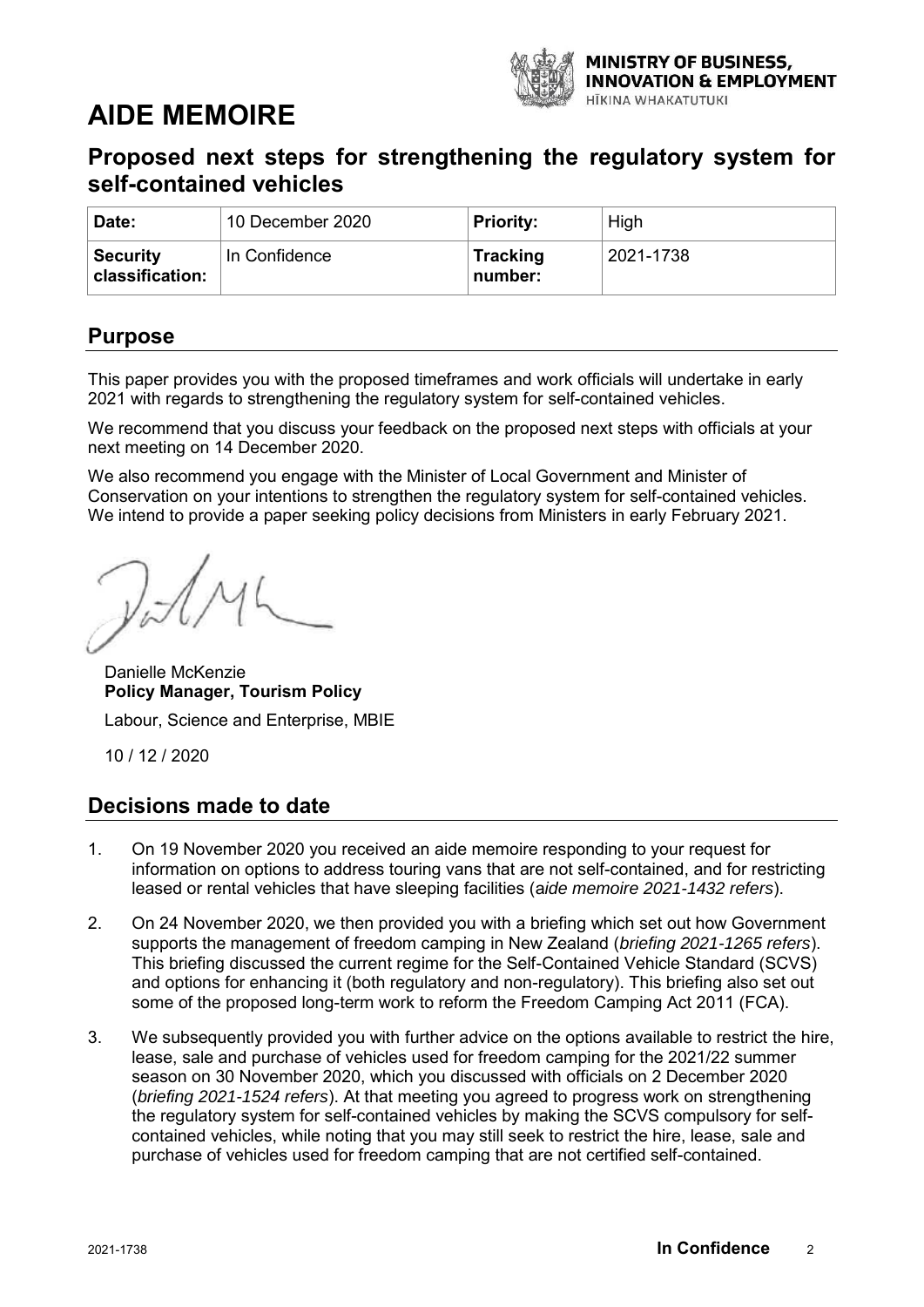

# **AIDE MEMOIRE**

# **Proposed next steps for strengthening the regulatory system for self-contained vehicles**

| Date:                              | 10 December 2020 | <b>Priority:</b>           | High      |
|------------------------------------|------------------|----------------------------|-----------|
| <b>Security</b><br>classification: | In Confidence    | <b>Tracking</b><br>number: | 2021-1738 |

# **Purpose**

This paper provides you with the proposed timeframes and work officials will undertake in early 2021 with regards to strengthening the regulatory system for self-contained vehicles.

We recommend that you discuss your feedback on the proposed next steps with officials at your next meeting on 14 December 2020.

We also recommend you engage with the Minister of Local Government and Minister of Conservation on your intentions to strengthen the regulatory system for self-contained vehicles. We intend to provide a paper seeking policy decisions from Ministers in early February 2021.

VII

Danielle McKenzie **Policy Manager, Tourism Policy** 

Labour, Science and Enterprise, MBIE

10 / 12 / 2020

# **Decisions made to date**

- 1. On 19 November 2020 you received an aide memoire responding to your request for information on options to address touring vans that are not self-contained, and for restricting leased or rental vehicles that have sleeping facilities (a*ide memoire 2021-1432 refers*).
- 2. On 24 November 2020, we then provided you with a briefing which set out how Government supports the management of freedom camping in New Zealand (*briefing 2021-1265 refers*). This briefing discussed the current regime for the Self-Contained Vehicle Standard (SCVS) and options for enhancing it (both regulatory and non-regulatory). This briefing also set out some of the proposed long-term work to reform the Freedom Camping Act 2011 (FCA).
- 3. We subsequently provided you with further advice on the options available to restrict the hire, lease, sale and purchase of vehicles used for freedom camping for the 2021/22 summer season on 30 November 2020, which you discussed with officials on 2 December 2020 (*briefing 2021-1524 refers*). At that meeting you agreed to progress work on strengthening the regulatory system for self-contained vehicles by making the SCVS compulsory for selfcontained vehicles, while noting that you may still seek to restrict the hire, lease, sale and purchase of vehicles used for freedom camping that are not certified self-contained.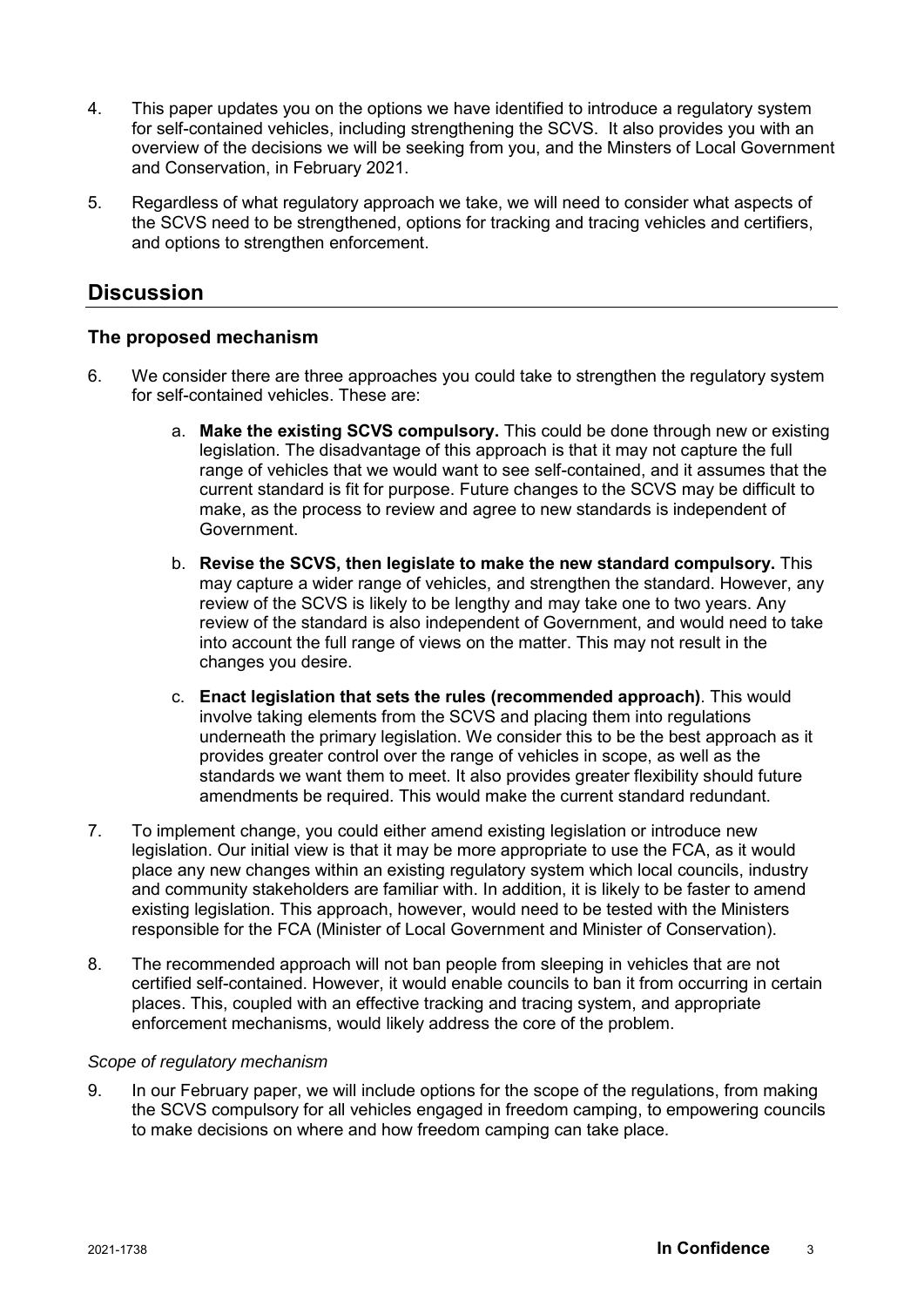- 4. This paper updates you on the options we have identified to introduce a regulatory system for self-contained vehicles, including strengthening the SCVS. It also provides you with an overview of the decisions we will be seeking from you, and the Minsters of Local Government and Conservation, in February 2021.
- 5. Regardless of what regulatory approach we take, we will need to consider what aspects of the SCVS need to be strengthened, options for tracking and tracing vehicles and certifiers, and options to strengthen enforcement.

# **Discussion**

# **The proposed mechanism**

- 6. We consider there are three approaches you could take to strengthen the regulatory system for self-contained vehicles. These are:
	- a. **Make the existing SCVS compulsory.** This could be done through new or existing legislation. The disadvantage of this approach is that it may not capture the full range of vehicles that we would want to see self-contained, and it assumes that the current standard is fit for purpose. Future changes to the SCVS may be difficult to make, as the process to review and agree to new standards is independent of Government.
	- b. **Revise the SCVS, then legislate to make the new standard compulsory.** This may capture a wider range of vehicles, and strengthen the standard. However, any review of the SCVS is likely to be lengthy and may take one to two years. Any review of the standard is also independent of Government, and would need to take into account the full range of views on the matter. This may not result in the changes you desire.
	- c. **Enact legislation that sets the rules (recommended approach)**. This would involve taking elements from the SCVS and placing them into regulations underneath the primary legislation. We consider this to be the best approach as it provides greater control over the range of vehicles in scope, as well as the standards we want them to meet. It also provides greater flexibility should future amendments be required. This would make the current standard redundant.
- 7. To implement change, you could either amend existing legislation or introduce new legislation. Our initial view is that it may be more appropriate to use the FCA, as it would place any new changes within an existing regulatory system which local councils, industry and community stakeholders are familiar with. In addition, it is likely to be faster to amend existing legislation. This approach, however, would need to be tested with the Ministers responsible for the FCA (Minister of Local Government and Minister of Conservation).
- 8. The recommended approach will not ban people from sleeping in vehicles that are not certified self-contained. However, it would enable councils to ban it from occurring in certain places. This, coupled with an effective tracking and tracing system, and appropriate enforcement mechanisms, would likely address the core of the problem.

#### *Scope of regulatory mechanism*

9. In our February paper, we will include options for the scope of the regulations, from making the SCVS compulsory for all vehicles engaged in freedom camping, to empowering councils to make decisions on where and how freedom camping can take place.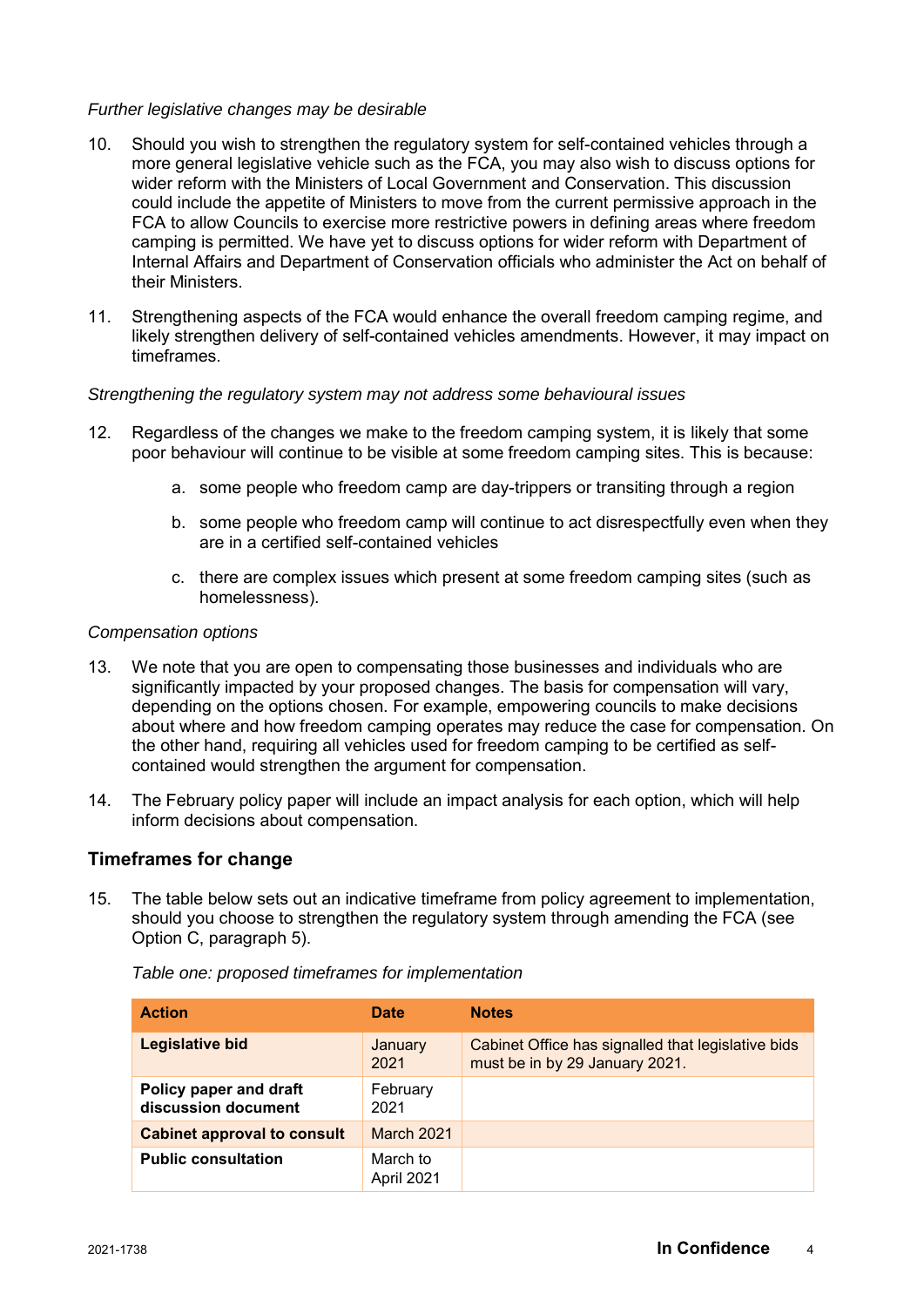### *Further legislative changes may be desirable*

- 10. Should you wish to strengthen the regulatory system for self-contained vehicles through a more general legislative vehicle such as the FCA, you may also wish to discuss options for wider reform with the Ministers of Local Government and Conservation. This discussion could include the appetite of Ministers to move from the current permissive approach in the FCA to allow Councils to exercise more restrictive powers in defining areas where freedom camping is permitted. We have yet to discuss options for wider reform with Department of Internal Affairs and Department of Conservation officials who administer the Act on behalf of their Ministers.
- 11. Strengthening aspects of the FCA would enhance the overall freedom camping regime, and likely strengthen delivery of self-contained vehicles amendments. However, it may impact on timeframes.

#### *Strengthening the regulatory system may not address some behavioural issues*

- 12. Regardless of the changes we make to the freedom camping system, it is likely that some poor behaviour will continue to be visible at some freedom camping sites. This is because:
	- a. some people who freedom camp are day-trippers or transiting through a region
	- b. some people who freedom camp will continue to act disrespectfully even when they are in a certified self-contained vehicles
	- c. there are complex issues which present at some freedom camping sites (such as homelessness).

#### *Compensation options*

- 13. We note that you are open to compensating those businesses and individuals who are significantly impacted by your proposed changes. The basis for compensation will vary, depending on the options chosen. For example, empowering councils to make decisions about where and how freedom camping operates may reduce the case for compensation. On the other hand, requiring all vehicles used for freedom camping to be certified as selfcontained would strengthen the argument for compensation.
- 14. The February policy paper will include an impact analysis for each option, which will help inform decisions about compensation.

## **Timeframes for change**

15. The table below sets out an indicative timeframe from policy agreement to implementation, should you choose to strengthen the regulatory system through amending the FCA (see Option C, paragraph 5).

| <b>Action</b>                                 | Date                   | <b>Notes</b>                                                                         |
|-----------------------------------------------|------------------------|--------------------------------------------------------------------------------------|
| <b>Legislative bid</b>                        | January<br>2021        | Cabinet Office has signalled that legislative bids<br>must be in by 29 January 2021. |
| Policy paper and draft<br>discussion document | February<br>2021       |                                                                                      |
| <b>Cabinet approval to consult</b>            | <b>March 2021</b>      |                                                                                      |
| <b>Public consultation</b>                    | March to<br>April 2021 |                                                                                      |

*Table one: proposed timeframes for implementation*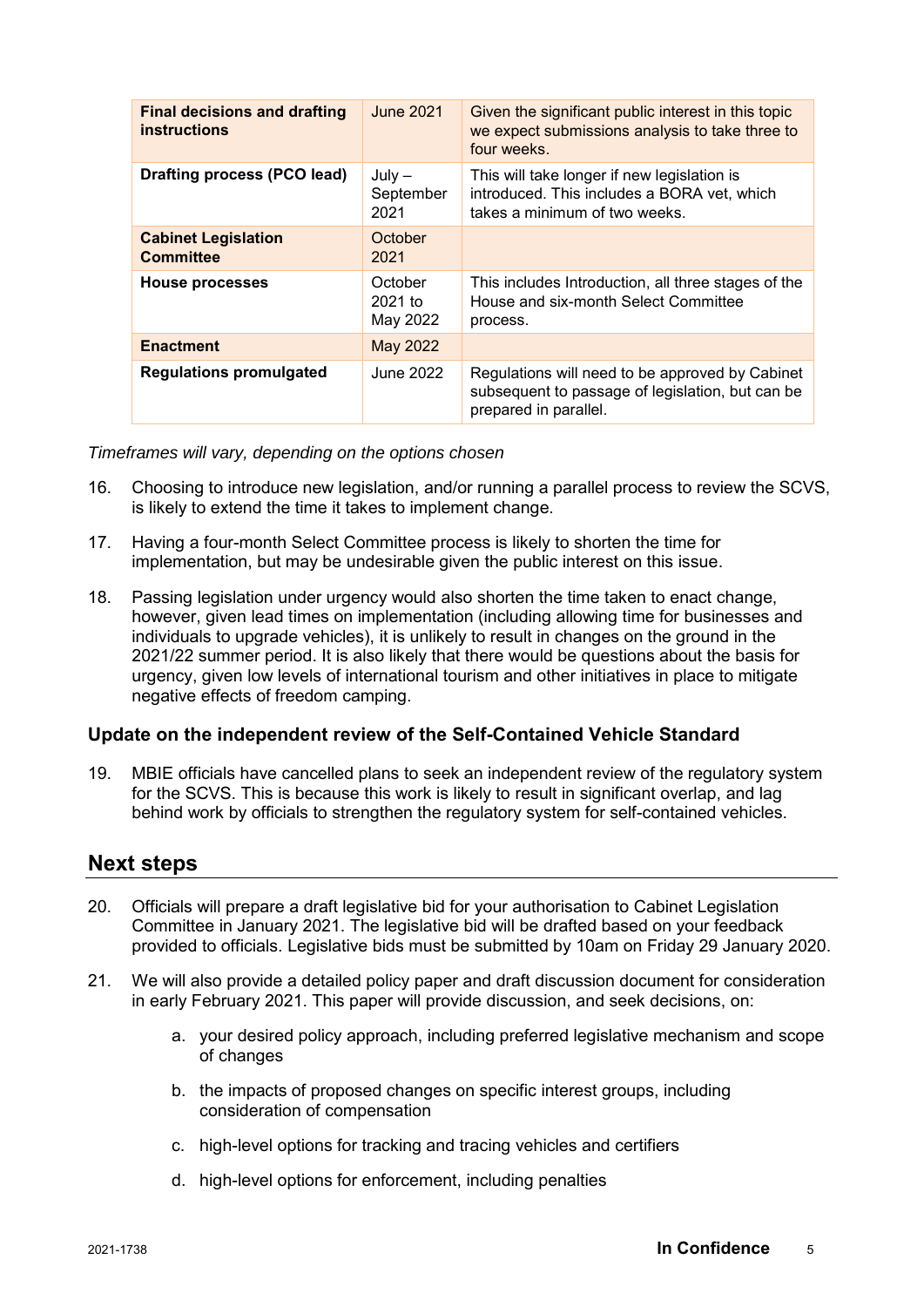| <b>Final decisions and drafting</b><br><b>instructions</b> | <b>June 2021</b>                 | Given the significant public interest in this topic<br>we expect submissions analysis to take three to<br>four weeks.        |
|------------------------------------------------------------|----------------------------------|------------------------------------------------------------------------------------------------------------------------------|
| <b>Drafting process (PCO lead)</b>                         | $July -$<br>September<br>2021    | This will take longer if new legislation is<br>introduced. This includes a BORA vet, which<br>takes a minimum of two weeks.  |
| <b>Cabinet Legislation</b><br><b>Committee</b>             | October<br>2021                  |                                                                                                                              |
| <b>House processes</b>                                     | October<br>$2021$ to<br>May 2022 | This includes Introduction, all three stages of the<br>House and six-month Select Committee<br>process.                      |
| <b>Enactment</b>                                           | May 2022                         |                                                                                                                              |
| <b>Regulations promulgated</b>                             | June 2022                        | Regulations will need to be approved by Cabinet<br>subsequent to passage of legislation, but can be<br>prepared in parallel. |

*Timeframes will vary, depending on the options chosen*

- 16. Choosing to introduce new legislation, and/or running a parallel process to review the SCVS, is likely to extend the time it takes to implement change.
- 17. Having a four-month Select Committee process is likely to shorten the time for implementation, but may be undesirable given the public interest on this issue.
- 18. Passing legislation under urgency would also shorten the time taken to enact change, however, given lead times on implementation (including allowing time for businesses and individuals to upgrade vehicles), it is unlikely to result in changes on the ground in the 2021/22 summer period. It is also likely that there would be questions about the basis for urgency, given low levels of international tourism and other initiatives in place to mitigate negative effects of freedom camping.

# **Update on the independent review of the Self-Contained Vehicle Standard**

19. MBIE officials have cancelled plans to seek an independent review of the regulatory system for the SCVS. This is because this work is likely to result in significant overlap, and lag behind work by officials to strengthen the regulatory system for self-contained vehicles.

# **Next steps**

- 20. Officials will prepare a draft legislative bid for your authorisation to Cabinet Legislation Committee in January 2021. The legislative bid will be drafted based on your feedback provided to officials. Legislative bids must be submitted by 10am on Friday 29 January 2020.
- 21. We will also provide a detailed policy paper and draft discussion document for consideration in early February 2021. This paper will provide discussion, and seek decisions, on:
	- a. your desired policy approach, including preferred legislative mechanism and scope of changes
	- b. the impacts of proposed changes on specific interest groups, including consideration of compensation
	- c. high-level options for tracking and tracing vehicles and certifiers
	- d. high-level options for enforcement, including penalties